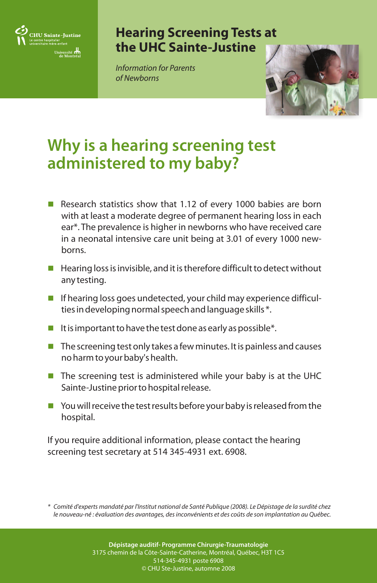

## **Hearing Screening Tests at the UHC Sainte-Justine**

*Information for Parents of Newborns*



## **Why is a hearing screening test administered to my baby?**

- Research statistics show that 1.12 of every 1000 babies are born with at least a moderate degree of permanent hearing loss in each ear\*. The prevalence is higher in newborns who have received care in a neonatal intensive care unit being at 3.01 of every 1000 newborns.
- $\blacksquare$  Hearing loss is invisible, and it is therefore difficult to detect without any testing.
- **n** If hearing loss goes undetected, your child may experience difficulties in developing normal speech and language skills \*.
- It is important to have the test done as early as possible\*.
- $\blacksquare$  The screening test only takes a few minutes. It is painless and causes no harm to your baby's health.
- The screening test is administered while your baby is at the UHC Sainte-Justine prior to hospital release.
- You will receive the test results before your baby is released from the hospital.

If you require additional information, please contact the hearing screening test secretary at 514 345-4931 ext. 6908.

*\* Comité d'experts mandaté par l'Institut national de Santé Publique (2008). Le Dépistage de la surdité chez le nouveau-né : évaluation des avantages, des inconvénients et des coûts de son implantation au Québec.* 

> **Dépistage auditif- Programme Chirurgie-Traumatologie** 3175 chemin de la Côte-Sainte-Catherine, Montréal, Québec, H3T 1C5 514-345-4931 poste 6908 © CHU Ste-Justine, automne 2008